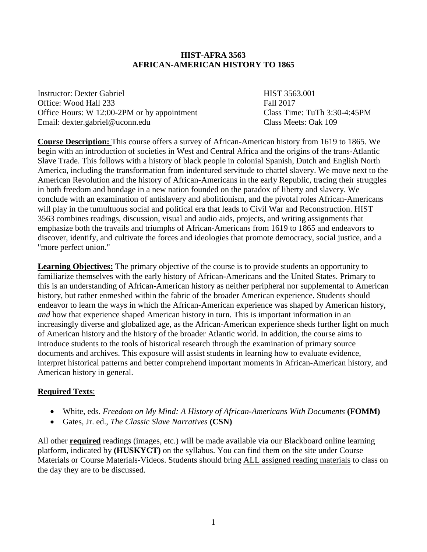### **HIST-AFRA 3563 AFRICAN-AMERICAN HISTORY TO 1865**

Instructor: Dexter Gabriel **HIST 3563.001** Office: Wood Hall 233 Fall 2017 Office Hours: W 12:00-2PM or by appointment Class Time: TuTh 3:30-4:45PM Email: dexter.gabriel@uconn.edu Class Meets: Oak 109

**Course Description:** This course offers a survey of African-American history from 1619 to 1865. We begin with an introduction of societies in West and Central Africa and the origins of the trans-Atlantic Slave Trade. This follows with a history of black people in colonial Spanish, Dutch and English North America, including the transformation from indentured servitude to chattel slavery. We move next to the American Revolution and the history of African-Americans in the early Republic, tracing their struggles in both freedom and bondage in a new nation founded on the paradox of liberty and slavery. We conclude with an examination of antislavery and abolitionism, and the pivotal roles African-Americans will play in the tumultuous social and political era that leads to Civil War and Reconstruction. HIST 3563 combines readings, discussion, visual and audio aids, projects, and writing assignments that emphasize both the travails and triumphs of African-Americans from 1619 to 1865 and endeavors to discover, identify, and cultivate the forces and ideologies that promote democracy, social justice, and a "more perfect union."

**Learning Objectives:** The primary objective of the course is to provide students an opportunity to familiarize themselves with the early history of African-Americans and the United States. Primary to this is an understanding of African-American history as neither peripheral nor supplemental to American history, but rather enmeshed within the fabric of the broader American experience. Students should endeavor to learn the ways in which the African-American experience was shaped by American history, *and* how that experience shaped American history in turn. This is important information in an increasingly diverse and globalized age, as the African-American experience sheds further light on much of American history and the history of the broader Atlantic world. In addition, the course aims to introduce students to the tools of historical research through the examination of primary source documents and archives. This exposure will assist students in learning how to evaluate evidence, interpret historical patterns and better comprehend important moments in African-American history, and American history in general.

### **Required Texts**:

- White, eds. *Freedom on My Mind: A History of African-Americans With Documents* **(FOMM)**
- Gates, Jr. ed., *The Classic Slave Narratives* **(CSN)**

All other **required** readings (images, etc.) will be made available via our Blackboard online learning platform, indicated by **(HUSKYCT)** on the syllabus. You can find them on the site under Course Materials or Course Materials-Videos. Students should bring ALL assigned reading materials to class on the day they are to be discussed.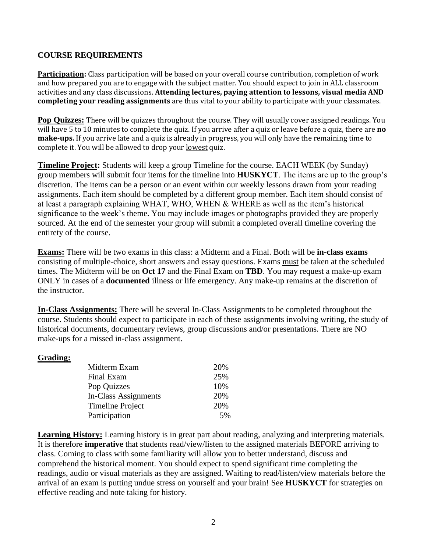## **COURSE REQUIREMENTS**

**Participation:** Class participation will be based on your overall course contribution, completion of work and how prepared you are to engage with the subject matter. You should expect to join in ALL classroom activities and any class discussions. **Attending lectures, paying attention to lessons, visual media AND completing your reading assignments** are thus vital to your ability to participate with your classmates.

**Pop Quizzes:** There will be quizzes throughout the course. They will usually cover assigned readings. You will have 5 to 10 minutes to complete the quiz. If you arrive after a quiz or leave before a quiz, there are **no make-ups.** If you arrive late and a quiz is already in progress, you will only have the remaining time to complete it. You will be allowed to drop your lowest quiz.

**Timeline Project:** Students will keep a group Timeline for the course. EACH WEEK (by Sunday) group members will submit four items for the timeline into **HUSKYCT**. The items are up to the group's discretion. The items can be a person or an event within our weekly lessons drawn from your reading assignments. Each item should be completed by a different group member. Each item should consist of at least a paragraph explaining WHAT, WHO, WHEN & WHERE as well as the item's historical significance to the week's theme. You may include images or photographs provided they are properly sourced. At the end of the semester your group will submit a completed overall timeline covering the entirety of the course.

**Exams:** There will be two exams in this class: a Midterm and a Final. Both will be **in-class exams**  consisting of multiple-choice, short answers and essay questions. Exams must be taken at the scheduled times. The Midterm will be on **Oct 17** and the Final Exam on **TBD**. You may request a make-up exam ONLY in cases of a **documented** illness or life emergency. Any make-up remains at the discretion of the instructor.

**In-Class Assignments:** There will be several In-Class Assignments to be completed throughout the course. Students should expect to participate in each of these assignments involving writing, the study of historical documents, documentary reviews, group discussions and/or presentations. There are NO make-ups for a missed in-class assignment.

### **Grading:**

| Midterm Exam            | 20% |
|-------------------------|-----|
| Final Exam              | 25% |
| Pop Quizzes             | 10% |
| In-Class Assignments    | 20% |
| <b>Timeline Project</b> | 20% |
| Participation           | 5%  |

Learning History: Learning history is in great part about reading, analyzing and interpreting materials. It is therefore **imperative** that students read/view/listen to the assigned materials BEFORE arriving to class. Coming to class with some familiarity will allow you to better understand, discuss and comprehend the historical moment. You should expect to spend significant time completing the readings, audio or visual materials as they are assigned. Waiting to read/listen/view materials before the arrival of an exam is putting undue stress on yourself and your brain! See **HUSKYCT** for strategies on effective reading and note taking for history.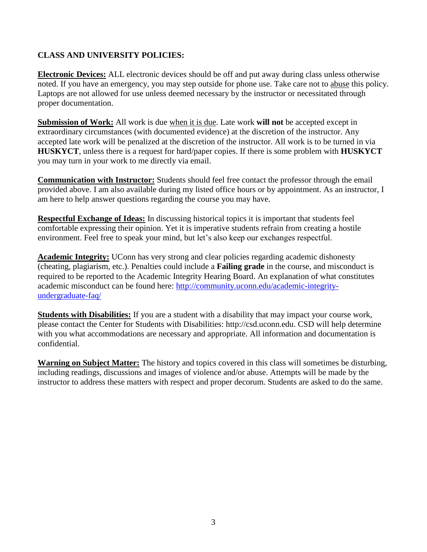## **CLASS AND UNIVERSITY POLICIES:**

**Electronic Devices:** ALL electronic devices should be off and put away during class unless otherwise noted. If you have an emergency, you may step outside for phone use. Take care not to abuse this policy. Laptops are not allowed for use unless deemed necessary by the instructor or necessitated through proper documentation.

**Submission of Work:** All work is due when it is due. Late work **will not** be accepted except in extraordinary circumstances (with documented evidence) at the discretion of the instructor. Any accepted late work will be penalized at the discretion of the instructor. All work is to be turned in via **HUSKYCT**, unless there is a request for hard/paper copies. If there is some problem with **HUSKYCT** you may turn in your work to me directly via email.

**Communication with Instructor:** Students should feel free contact the professor through the email provided above. I am also available during my listed office hours or by appointment. As an instructor, I am here to help answer questions regarding the course you may have.

**Respectful Exchange of Ideas:** In discussing historical topics it is important that students feel comfortable expressing their opinion. Yet it is imperative students refrain from creating a hostile environment. Feel free to speak your mind, but let's also keep our exchanges respectful.

**Academic Integrity:** UConn has very strong and clear policies regarding academic dishonesty (cheating, plagiarism, etc.). Penalties could include a **Failing grade** in the course, and misconduct is required to be reported to the Academic Integrity Hearing Board. An explanation of what constitutes academic misconduct can be found here: [http://community.uconn.edu/academic-integrity](http://community.uconn.edu/academic-integrity-undergraduate-faq/)[undergraduate-faq/](http://community.uconn.edu/academic-integrity-undergraduate-faq/)

**Students with Disabilities:** If you are a student with a disability that may impact your course work, please contact the Center for Students with Disabilities: http://csd.uconn.edu. CSD will help determine with you what accommodations are necessary and appropriate. All information and documentation is confidential.

**Warning on Subject Matter:** The history and topics covered in this class will sometimes be disturbing, including readings, discussions and images of violence and/or abuse. Attempts will be made by the instructor to address these matters with respect and proper decorum. Students are asked to do the same.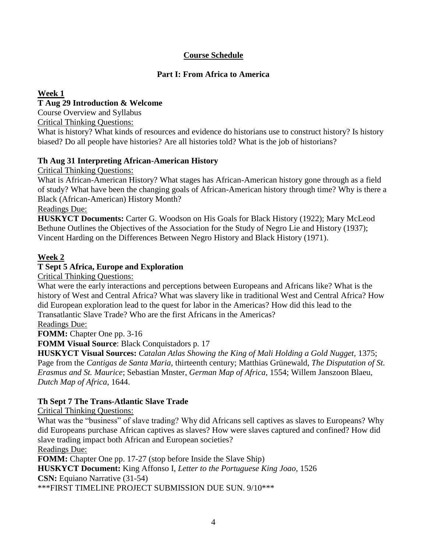# **Course Schedule**

# **Part I: From Africa to America**

## **Week 1**

## **T Aug 29 Introduction & Welcome**

Course Overview and Syllabus

Critical Thinking Questions:

What is history? What kinds of resources and evidence do historians use to construct history? Is history biased? Do all people have histories? Are all histories told? What is the job of historians?

## **Th Aug 31 Interpreting African-American History**

Critical Thinking Questions:

What is African-American History? What stages has African-American history gone through as a field of study? What have been the changing goals of African-American history through time? Why is there a Black (African-American) History Month?

Readings Due:

**HUSKYCT Documents:** Carter G. Woodson on His Goals for Black History (1922); Mary McLeod Bethune Outlines the Objectives of the Association for the Study of Negro Lie and History (1937); Vincent Harding on the Differences Between Negro History and Black History (1971).

## **Week 2**

# **T Sept 5 Africa, Europe and Exploration**

Critical Thinking Questions:

What were the early interactions and perceptions between Europeans and Africans like? What is the history of West and Central Africa? What was slavery like in traditional West and Central Africa? How did European exploration lead to the quest for labor in the Americas? How did this lead to the Transatlantic Slave Trade? Who are the first Africans in the Americas?

## Readings Due:

**FOMM:** Chapter One pp. 3-16

**FOMM Visual Source**: Black Conquistadors p. 17

**HUSKYCT Visual Sources:** *Catalan Atlas Showing the King of Mali Holding a Gold Nugget,* 1375; Page from the *Cantigas de Santa Maria,* thirteenth century; Matthias Grünewald, *The Disputation of St. Erasmus and St. Maurice*; Sebastian Mnster, *German Map of Africa,* 1554; Willem Janszoon Blaeu, *Dutch Map of Africa,* 1644.

## **Th Sept 7 The Trans-Atlantic Slave Trade**

Critical Thinking Questions:

What was the "business" of slave trading? Why did Africans sell captives as slaves to Europeans? Why did Europeans purchase African captives as slaves? How were slaves captured and confined? How did slave trading impact both African and European societies?

Readings Due:

**FOMM:** Chapter One pp. 17-27 (stop before Inside the Slave Ship)

**HUSKYCT Document:** King Affonso I, *Letter to the Portuguese King Joao,* 1526

**CSN:** Equiano Narrative (31-54)

\*\*\*FIRST TIMELINE PROJECT SUBMISSION DUE SUN. 9/10\*\*\*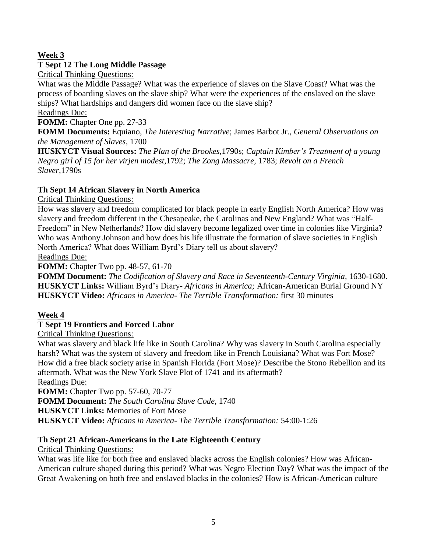# **Week 3**

## **T Sept 12 The Long Middle Passage**

Critical Thinking Questions:

What was the Middle Passage? What was the experience of slaves on the Slave Coast? What was the process of boarding slaves on the slave ship? What were the experiences of the enslaved on the slave ships? What hardships and dangers did women face on the slave ship?

Readings Due:

**FOMM:** Chapter One pp. 27-33

**FOMM Documents:** Equiano, *The Interesting Narrative*; James Barbot Jr., *General Observations on the Management of Slaves,* 1700

**HUSKYCT Visual Sources:** *The Plan of the Brookes,*1790s; *Captain Kimber's Treatment of a young Negro girl of 15 for her virjen modest,*1792; *The Zong Massacre,* 1783; *Revolt on a French Slaver,*1790s

## **Th Sept 14 African Slavery in North America**

Critical Thinking Questions:

How was slavery and freedom complicated for black people in early English North America? How was slavery and freedom different in the Chesapeake, the Carolinas and New England? What was "Half-Freedom" in New Netherlands? How did slavery become legalized over time in colonies like Virginia? Who was Anthony Johnson and how does his life illustrate the formation of slave societies in English North America? What does William Byrd's Diary tell us about slavery?

Readings Due:

**FOMM:** Chapter Two pp. 48-57, 61-70

**FOMM Document:** *The Codification of Slavery and Race in Seventeenth-Century Virginia,* 1630-1680. **HUSKYCT Links:** William Byrd's Diary- *Africans in America;* African-American Burial Ground NY **HUSKYCT Video:** *Africans in America- The Terrible Transformation:* first 30 minutes

### **Week 4**

## **T Sept 19 Frontiers and Forced Labor**

Critical Thinking Questions:

What was slavery and black life like in South Carolina? Why was slavery in South Carolina especially harsh? What was the system of slavery and freedom like in French Louisiana? What was Fort Mose? How did a free black society arise in Spanish Florida (Fort Mose)? Describe the Stono Rebellion and its aftermath. What was the New York Slave Plot of 1741 and its aftermath?

Readings Due:

**FOMM:** Chapter Two pp. 57-60, 70-77

**FOMM Document:** *The South Carolina Slave Code,* 1740

**HUSKYCT Links:** Memories of Fort Mose

**HUSKYCT Video:** *Africans in America- The Terrible Transformation:* 54:00-1:26

## **Th Sept 21 African-Americans in the Late Eighteenth Century**

Critical Thinking Questions:

What was life like for both free and enslaved blacks across the English colonies? How was African-American culture shaped during this period? What was Negro Election Day? What was the impact of the Great Awakening on both free and enslaved blacks in the colonies? How is African-American culture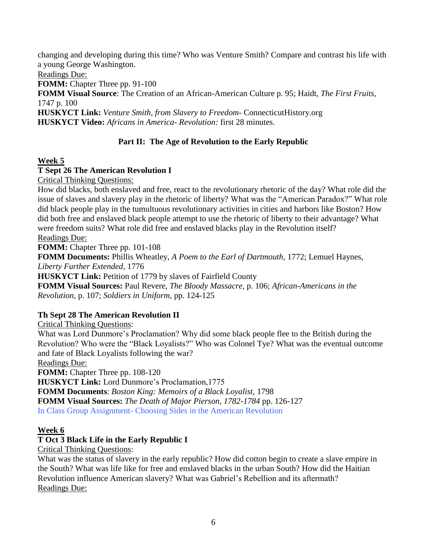changing and developing during this time? Who was Venture Smith? Compare and contrast his life with a young George Washington.

Readings Due:

**FOMM:** Chapter Three pp. 91-100

**FOMM Visual Source**: The Creation of an African-American Culture p. 95; Haidt, *The First Fruits,* 1747 p. 100

**HUSKYCT Link:** *Venture Smith, from Slavery to Freedom-* ConnecticutHistory.org **HUSKYCT Video:** *Africans in America- Revolution:* first 28 minutes.

# **Part II: The Age of Revolution to the Early Republic**

## **Week 5**

## **T Sept 26 The American Revolution I**

Critical Thinking Questions:

How did blacks, both enslaved and free, react to the revolutionary rhetoric of the day? What role did the issue of slaves and slavery play in the rhetoric of liberty? What was the "American Paradox?" What role did black people play in the tumultuous revolutionary activities in cities and harbors like Boston? How did both free and enslaved black people attempt to use the rhetoric of liberty to their advantage? What were freedom suits? What role did free and enslaved blacks play in the Revolution itself? Readings Due:

**FOMM:** Chapter Three pp. 101-108

**FOMM Documents:** Phillis Wheatley, *A Poem to the Earl of Dartmouth,* 1772; Lemuel Haynes, *Liberty Further Extended,* 1776

**HUSKYCT Link:** Petition of 1779 by slaves of Fairfield County

**FOMM Visual Sources:** Paul Revere, *The Bloody Massacre,* p. 106; *African-Americans in the Revolution,* p. 107; *Soldiers in Uniform,* pp. 124-125

## **Th Sept 28 The American Revolution II**

Critical Thinking Questions:

What was Lord Dunmore's Proclamation? Why did some black people flee to the British during the Revolution? Who were the "Black Loyalists?" Who was Colonel Tye? What was the eventual outcome and fate of Black Loyalists following the war?

Readings Due:

**FOMM:** Chapter Three pp. 108-120

**HUSKYCT Link:** Lord Dunmore's Proclamation,1775

**FOMM Documents**: *Boston King: Memoirs of a Black Loyalist,* 1798

**FOMM Visual Sources:** *The Death of Major Pierson, 1782-1784* pp. 126-127

In Class Group Assignment- Choosing Sides in the American Revolution

## **Week 6**

## **T Oct 3 Black Life in the Early Republic I**

Critical Thinking Questions:

What was the status of slavery in the early republic? How did cotton begin to create a slave empire in the South? What was life like for free and enslaved blacks in the urban South? How did the Haitian Revolution influence American slavery? What was Gabriel's Rebellion and its aftermath? Readings Due: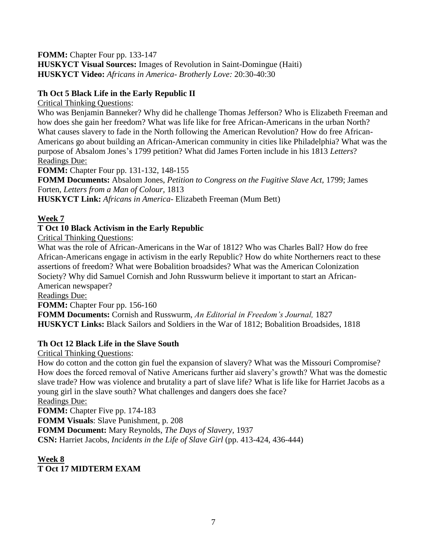### **FOMM:** Chapter Four pp. 133-147 **HUSKYCT Visual Sources:** Images of Revolution in Saint-Domingue (Haiti) **HUSKYCT Video:** *Africans in America- Brotherly Love:* 20:30-40:30

# **Th Oct 5 Black Life in the Early Republic II**

Critical Thinking Questions:

Who was Benjamin Banneker? Why did he challenge Thomas Jefferson? Who is Elizabeth Freeman and how does she gain her freedom? What was life like for free African-Americans in the urban North? What causes slavery to fade in the North following the American Revolution? How do free African-Americans go about building an African-American community in cities like Philadelphia? What was the purpose of Absalom Jones's 1799 petition? What did James Forten include in his 1813 *Letters*? Readings Due:

**FOMM:** Chapter Four pp. 131-132, 148-155

**FOMM Documents:** Absalom Jones, *Petition to Congress on the Fugitive Slave Act,* 1799; James Forten, *Letters from a Man of Colour,* 1813

**HUSKYCT Link:** *Africans in America*- Elizabeth Freeman (Mum Bett)

# **Week 7**

# **T Oct 10 Black Activism in the Early Republic**

Critical Thinking Questions:

What was the role of African-Americans in the War of 1812? Who was Charles Ball? How do free African-Americans engage in activism in the early Republic? How do white Northerners react to these assertions of freedom? What were Bobalition broadsides? What was the American Colonization Society? Why did Samuel Cornish and John Russwurm believe it important to start an African-American newspaper?

Readings Due:

**FOMM:** Chapter Four pp. 156-160

**FOMM Documents:** Cornish and Russwurm, *An Editorial in Freedom's Journal,* 1827 **HUSKYCT Links:** Black Sailors and Soldiers in the War of 1812; Bobalition Broadsides, 1818

# **Th Oct 12 Black Life in the Slave South**

Critical Thinking Questions:

How do cotton and the cotton gin fuel the expansion of slavery? What was the Missouri Compromise? How does the forced removal of Native Americans further aid slavery's growth? What was the domestic slave trade? How was violence and brutality a part of slave life? What is life like for Harriet Jacobs as a young girl in the slave south? What challenges and dangers does she face?

# Readings Due:

**FOMM:** Chapter Five pp. 174-183 **FOMM Visuals**: Slave Punishment, p. 208 **FOMM Document:** Mary Reynolds, *The Days of Slavery,* 1937 **CSN:** Harriet Jacobs, *Incidents in the Life of Slave Girl* (pp. 413-424, 436-444)

**Week 8 T Oct 17 MIDTERM EXAM**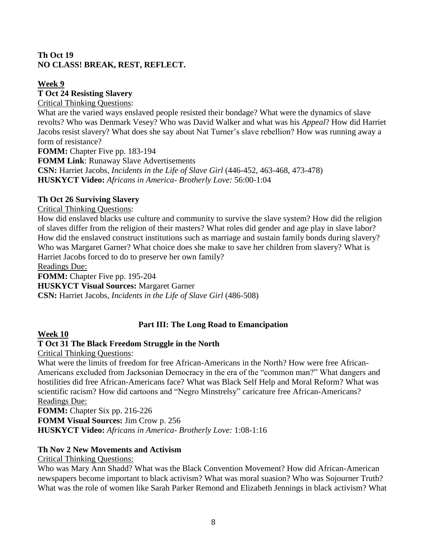## **Th Oct 19 NO CLASS! BREAK, REST, REFLECT.**

## **Week 9**

# **T Oct 24 Resisting Slavery**

Critical Thinking Questions:

What are the varied ways enslaved people resisted their bondage? What were the dynamics of slave revolts? Who was Denmark Vesey? Who was David Walker and what was his *Appeal*? How did Harriet Jacobs resist slavery? What does she say about Nat Turner's slave rebellion? How was running away a form of resistance?

**FOMM:** Chapter Five pp. 183-194 **FOMM Link**: Runaway Slave Advertisements **CSN:** Harriet Jacobs, *Incidents in the Life of Slave Girl* (446-452, 463-468, 473-478) **HUSKYCT Video:** *Africans in America- Brotherly Love:* 56:00-1:04

## **Th Oct 26 Surviving Slavery**

Critical Thinking Questions:

How did enslaved blacks use culture and community to survive the slave system? How did the religion of slaves differ from the religion of their masters? What roles did gender and age play in slave labor? How did the enslaved construct institutions such as marriage and sustain family bonds during slavery? Who was Margaret Garner? What choice does she make to save her children from slavery? What is Harriet Jacobs forced to do to preserve her own family?

Readings Due:

**FOMM:** Chapter Five pp. 195-204 **HUSKYCT Visual Sources:** Margaret Garner **CSN:** Harriet Jacobs, *Incidents in the Life of Slave Girl* (486-508)

# **Part III: The Long Road to Emancipation**

## **Week 10**

# **T Oct 31 The Black Freedom Struggle in the North**

Critical Thinking Questions:

What were the limits of freedom for free African-Americans in the North? How were free African-Americans excluded from Jacksonian Democracy in the era of the "common man?" What dangers and hostilities did free African-Americans face? What was Black Self Help and Moral Reform? What was scientific racism? How did cartoons and "Negro Minstrelsy" caricature free African-Americans? Readings Due:

**FOMM:** Chapter Six pp. 216-226 **FOMM Visual Sources:** Jim Crow p. 256 **HUSKYCT Video:** *Africans in America- Brotherly Love:* 1:08-1:16

## **Th Nov 2 New Movements and Activism**

Critical Thinking Questions:

Who was Mary Ann Shadd? What was the Black Convention Movement? How did African-American newspapers become important to black activism? What was moral suasion? Who was Sojourner Truth? What was the role of women like Sarah Parker Remond and Elizabeth Jennings in black activism? What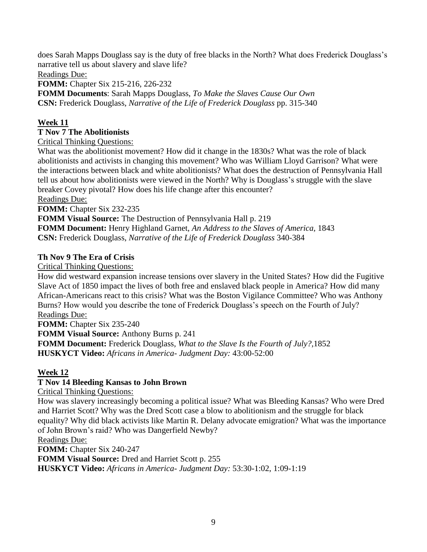does Sarah Mapps Douglass say is the duty of free blacks in the North? What does Frederick Douglass's narrative tell us about slavery and slave life?

Readings Due:

**FOMM:** Chapter Six 215-216, 226-232

**FOMM Documents**: Sarah Mapps Douglass, *To Make the Slaves Cause Our Own* **CSN:** Frederick Douglass, *Narrative of the Life of Frederick Douglass* pp. 315-340

## **Week 11**

### **T Nov 7 The Abolitionists**

Critical Thinking Questions:

What was the abolitionist movement? How did it change in the 1830s? What was the role of black abolitionists and activists in changing this movement? Who was William Lloyd Garrison? What were the interactions between black and white abolitionists? What does the destruction of Pennsylvania Hall tell us about how abolitionists were viewed in the North? Why is Douglass's struggle with the slave breaker Covey pivotal? How does his life change after this encounter?

### Readings Due:

**FOMM:** Chapter Six 232-235

**FOMM Visual Source:** The Destruction of Pennsylvania Hall p. 219

**FOMM Document:** Henry Highland Garnet, *An Address to the Slaves of America,* 1843 **CSN:** Frederick Douglass, *Narrative of the Life of Frederick Douglass* 340-384

## **Th Nov 9 The Era of Crisis**

Critical Thinking Questions:

How did westward expansion increase tensions over slavery in the United States? How did the Fugitive Slave Act of 1850 impact the lives of both free and enslaved black people in America? How did many African-Americans react to this crisis? What was the Boston Vigilance Committee? Who was Anthony Burns? How would you describe the tone of Frederick Douglass's speech on the Fourth of July? Readings Due:

**FOMM:** Chapter Six 235-240 **FOMM Visual Source:** Anthony Burns p. 241 **FOMM Document:** Frederick Douglass*, What to the Slave Is the Fourth of July?,*1852 **HUSKYCT Video:** *Africans in America- Judgment Day:* 43:00-52:00

## **Week 12**

## **T Nov 14 Bleeding Kansas to John Brown**

Critical Thinking Questions:

How was slavery increasingly becoming a political issue? What was Bleeding Kansas? Who were Dred and Harriet Scott? Why was the Dred Scott case a blow to abolitionism and the struggle for black equality? Why did black activists like Martin R. Delany advocate emigration? What was the importance of John Brown's raid? Who was Dangerfield Newby?

Readings Due:

**FOMM:** Chapter Six 240-247

**FOMM Visual Source:** Dred and Harriet Scott p. 255

**HUSKYCT Video:** *Africans in America- Judgment Day:* 53:30-1:02, 1:09-1:19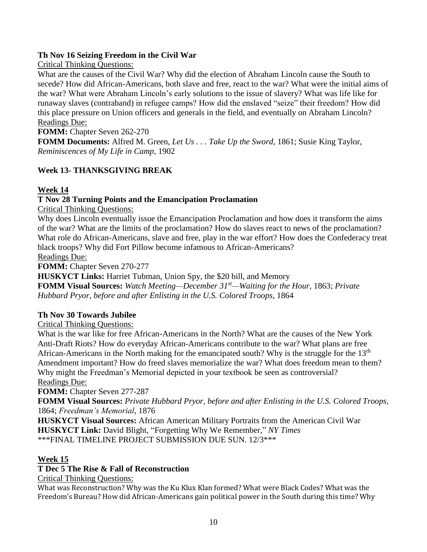## **Th Nov 16 Seizing Freedom in the Civil War**

Critical Thinking Questions:

What are the causes of the Civil War? Why did the election of Abraham Lincoln cause the South to secede? How did African-Americans, both slave and free, react to the war? What were the initial aims of the war? What were Abraham Lincoln's early solutions to the issue of slavery? What was life like for runaway slaves (contraband) in refugee camps? How did the enslaved "seize" their freedom? How did this place pressure on Union officers and generals in the field, and eventually on Abraham Lincoln? Readings Due:

**FOMM:** Chapter Seven 262-270

**FOMM Documents:** Alfred M. Green, *Let Us . . . Take Up the Sword,* 1861; Susie King Taylor, *Reminiscences of My Life in Camp*, 1902

# **Week 13- THANKSGIVING BREAK**

## **Week 14**

## **T Nov 28 Turning Points and the Emancipation Proclamation**

Critical Thinking Questions:

Why does Lincoln eventually issue the Emancipation Proclamation and how does it transform the aims of the war? What are the limits of the proclamation? How do slaves react to news of the proclamation? What role do African-Americans, slave and free, play in the war effort? How does the Confederacy treat black troops? Why did Fort Pillow become infamous to African-Americans?

Readings Due:

**FOMM:** Chapter Seven 270-277

**HUSKYCT Links:** Harriet Tubman, Union Spy, the \$20 bill, and Memory

**FOMM Visual Sources:** *Watch Meeting—December 31st—Waiting for the Hour,* 1863; *Private Hubbard Pryor, before and after Enlisting in the U.S. Colored Troops,* 1864

## **Th Nov 30 Towards Jubilee**

Critical Thinking Questions:

What is the war like for free African-Americans in the North? What are the causes of the New York Anti-Draft Riots? How do everyday African-Americans contribute to the war? What plans are free African-Americans in the North making for the emancipated south? Why is the struggle for the 13<sup>th</sup> Amendment important? How do freed slaves memorialize the war? What does freedom mean to them? Why might the Freedman's Memorial depicted in your textbook be seen as controversial? Readings Due:

**FOMM:** Chapter Seven 277-287

**FOMM Visual Sources:** *Private Hubbard Pryor, before and after Enlisting in the U.S. Colored Troops,* 1864; *Freedman's Memorial*, 1876

**HUSKYCT Visual Sources:** African American Military Portraits from the American Civil War **HUSKYCT Link:** David Blight, "Forgetting Why We Remember," *NY Times* \*\*\*FINAL TIMELINE PROJECT SUBMISSION DUE SUN. 12/3\*\*\*

## **Week 15**

## **T Dec 5 The Rise & Fall of Reconstruction**

Critical Thinking Questions:

What was Reconstruction? Why was the Ku Klux Klan formed? What were Black Codes? What was the Freedom's Bureau? How did African-Americans gain political power in the South during this time? Why